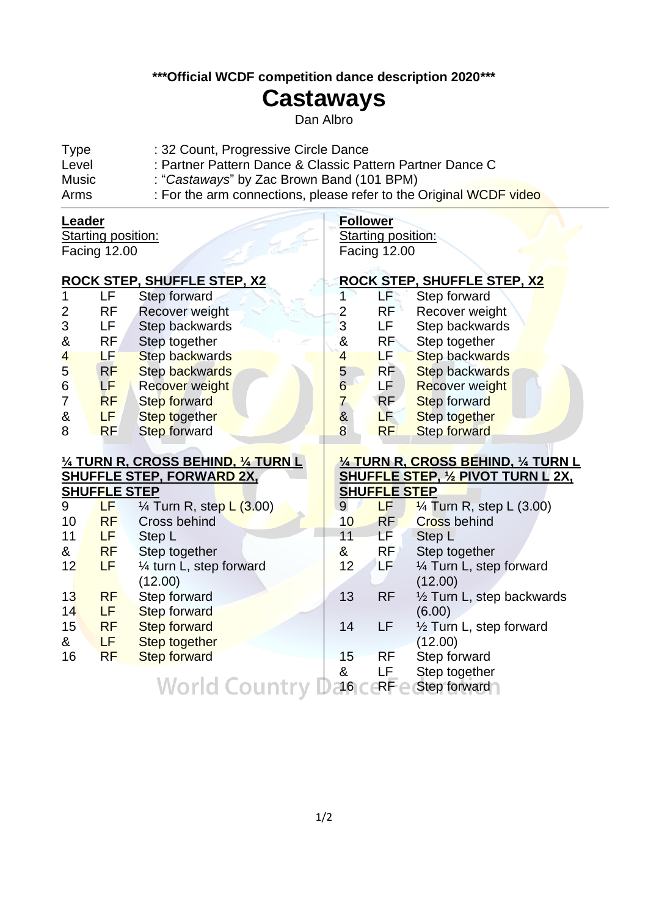**\*\*\*Official WCDF competition dance description 2020\*\*\***

## **Castaways**

Dan Albro

| <b>Type</b>  | : 32 Count, Progressive Circle Dance                               |
|--------------|--------------------------------------------------------------------|
| Level        | : Partner Pattern Dance & Classic Pattern Partner Dance C          |
| <b>Music</b> | : "Castaways" by Zac Brown Band (101 BPM)                          |
| Arms         | : For the arm connections, please refer to the Original WCDF video |

| <b>Follower</b>                                     |  |  |  |
|-----------------------------------------------------|--|--|--|
| <b>Starting position:</b>                           |  |  |  |
| <b>Facing 12.00</b>                                 |  |  |  |
|                                                     |  |  |  |
| <u>ROCK STEP, SHUFFLE STEP, X2</u>                  |  |  |  |
| LF.<br>1<br>Step forward                            |  |  |  |
| <b>RF</b><br>$\frac{2}{3}$<br>Recover weight        |  |  |  |
| LF<br>Step backwards                                |  |  |  |
| &<br><b>RF</b><br>Step together                     |  |  |  |
| LF.<br>Step backwards<br>4                          |  |  |  |
| <b>RF</b><br><b>Step backwards</b><br>$\frac{5}{6}$ |  |  |  |
| LF .<br><b>Recover weight</b>                       |  |  |  |
| $\overline{7}$<br>RF<br>Step forward                |  |  |  |
| &<br>8<br>LF<br>Step together                       |  |  |  |
| <b>RF</b><br><b>Step forward</b>                    |  |  |  |
|                                                     |  |  |  |
| <u>1/4 TURN R, CROSS BEHIND, 1/4 TURN L</u>         |  |  |  |
| <b>SHUFFLE STEP, 1/2 PIVOT TURN L 2X,</b>           |  |  |  |
| <b>SHUFFLE STEP</b>                                 |  |  |  |
| LF.<br>$\frac{1}{4}$ Turn R, step L (3.00)<br>9     |  |  |  |
| <b>RF</b><br>10<br><b>Cross behind</b>              |  |  |  |
| 11<br>LF.<br>Step L                                 |  |  |  |
| &<br>RF<br>Step together                            |  |  |  |
| 12<br>LF<br>1/4 Turn L, step forward                |  |  |  |
| (12.00)                                             |  |  |  |
| 13<br><b>RF</b><br>1/2 Turn L, step backwards       |  |  |  |
| (6.00)                                              |  |  |  |
| LF<br>14<br>1/2 Turn L, step forward                |  |  |  |
| (12.00)                                             |  |  |  |
| Step forward<br>15<br><b>RF</b>                     |  |  |  |
| &<br>LF<br>Step together                            |  |  |  |
| 16<br><b>RF</b><br>Step forward                     |  |  |  |
|                                                     |  |  |  |